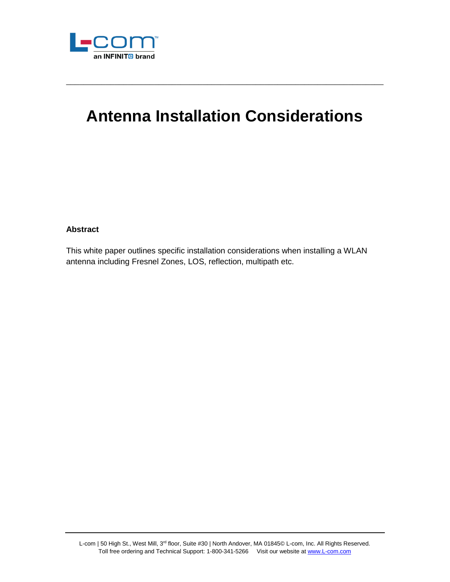

# **Antenna Installation Considerations**

\_\_\_\_\_\_\_\_\_\_\_\_\_\_\_\_\_\_\_\_\_\_\_\_\_\_\_\_\_\_\_\_\_\_\_\_\_\_\_\_\_\_\_\_\_\_\_\_\_\_\_\_\_\_\_\_\_\_\_\_\_\_\_\_\_\_\_\_\_\_\_\_

# **Abstract**

This white paper outlines specific installation considerations when installing a WLAN antenna including Fresnel Zones, LOS, reflection, multipath etc.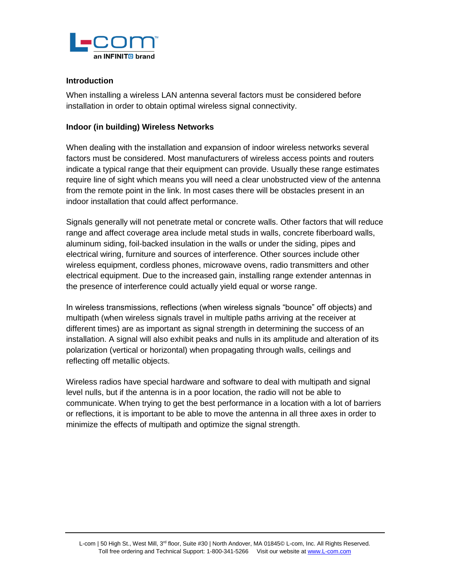

#### **Introduction**

When installing a wireless LAN antenna several factors must be considered before installation in order to obtain optimal wireless signal connectivity.

## **Indoor (in building) Wireless Networks**

When dealing with the installation and expansion of indoor wireless networks several factors must be considered. Most manufacturers of wireless access points and routers indicate a typical range that their equipment can provide. Usually these range estimates require line of sight which means you will need a clear unobstructed view of the antenna from the remote point in the link. In most cases there will be obstacles present in an indoor installation that could affect performance.

Signals generally will not penetrate metal or concrete walls. Other factors that will reduce range and affect coverage area include metal studs in walls, concrete fiberboard walls, aluminum siding, foil-backed insulation in the walls or under the siding, pipes and electrical wiring, furniture and sources of interference. Other sources include other wireless equipment, cordless phones, microwave ovens, radio transmitters and other electrical equipment. Due to the increased gain, installing range extender antennas in the presence of interference could actually yield equal or worse range.

In wireless transmissions, reflections (when wireless signals "bounce" off objects) and multipath (when wireless signals travel in multiple paths arriving at the receiver at different times) are as important as signal strength in determining the success of an installation. A signal will also exhibit peaks and nulls in its amplitude and alteration of its polarization (vertical or horizontal) when propagating through walls, ceilings and reflecting off metallic objects.

Wireless radios have special hardware and software to deal with multipath and signal level nulls, but if the antenna is in a poor location, the radio will not be able to communicate. When trying to get the best performance in a location with a lot of barriers or reflections, it is important to be able to move the antenna in all three axes in order to minimize the effects of multipath and optimize the signal strength.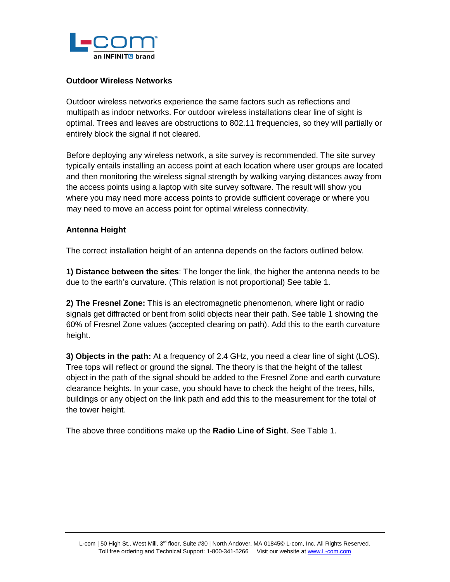

#### **Outdoor Wireless Networks**

Outdoor wireless networks experience the same factors such as reflections and multipath as indoor networks. For outdoor wireless installations clear line of sight is optimal. Trees and leaves are obstructions to 802.11 frequencies, so they will partially or entirely block the signal if not cleared.

Before deploying any wireless network, a site survey is recommended. The site survey typically entails installing an access point at each location where user groups are located and then monitoring the wireless signal strength by walking varying distances away from the access points using a laptop with site survey software. The result will show you where you may need more access points to provide sufficient coverage or where you may need to move an access point for optimal wireless connectivity.

## **Antenna Height**

The correct installation height of an antenna depends on the factors outlined below.

**1) Distance between the sites**: The longer the link, the higher the antenna needs to be due to the earth's curvature. (This relation is not proportional) See table 1.

**2) The Fresnel Zone:** This is an electromagnetic phenomenon, where light or radio signals get diffracted or bent from solid objects near their path. See table 1 showing the 60% of Fresnel Zone values (accepted clearing on path). Add this to the earth curvature height.

**3) Objects in the path:** At a frequency of 2.4 GHz, you need a clear line of sight (LOS). Tree tops will reflect or ground the signal. The theory is that the height of the tallest object in the path of the signal should be added to the Fresnel Zone and earth curvature clearance heights. In your case, you should have to check the height of the trees, hills, buildings or any object on the link path and add this to the measurement for the total of the tower height.

The above three conditions make up the **Radio Line of Sight**. See Table 1.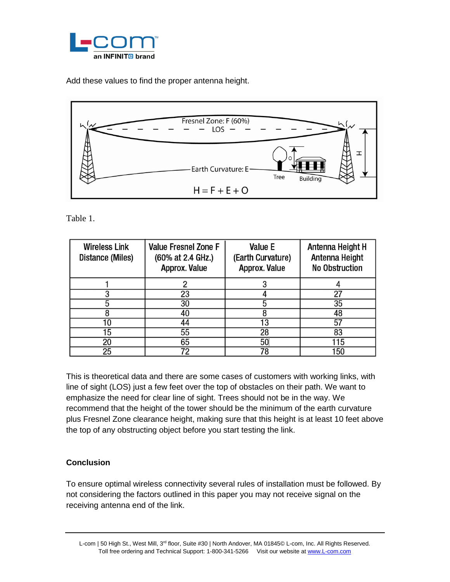

Add these values to find the proper antenna height.



Table 1.

| <b>Wireless Link</b><br>Distance (Miles) | <b>Value Fresnel Zone F</b><br>(60% at 2.4 GHz.)<br>Approx. Value | Value E<br>(Earth Curvature)<br>Approx. Value | Antenna Height H<br>Antenna Height<br><b>No Obstruction</b> |
|------------------------------------------|-------------------------------------------------------------------|-----------------------------------------------|-------------------------------------------------------------|
|                                          |                                                                   |                                               |                                                             |
|                                          | 23                                                                |                                               | 27                                                          |
|                                          | 30                                                                | 5                                             | 35                                                          |
|                                          | 40                                                                |                                               | 48                                                          |
|                                          | 44                                                                | 13                                            |                                                             |
| 15                                       | 55                                                                | 28                                            | 83                                                          |
| 20                                       | 65                                                                | 50                                            | 115                                                         |
| 25                                       | 72                                                                | 78                                            | 150                                                         |

This is theoretical data and there are some cases of customers with working links, with line of sight (LOS) just a few feet over the top of obstacles on their path. We want to emphasize the need for clear line of sight. Trees should not be in the way. We recommend that the height of the tower should be the minimum of the earth curvature plus Fresnel Zone clearance height, making sure that this height is at least 10 feet above the top of any obstructing object before you start testing the link.

# **Conclusion**

To ensure optimal wireless connectivity several rules of installation must be followed. By not considering the factors outlined in this paper you may not receive signal on the receiving antenna end of the link.